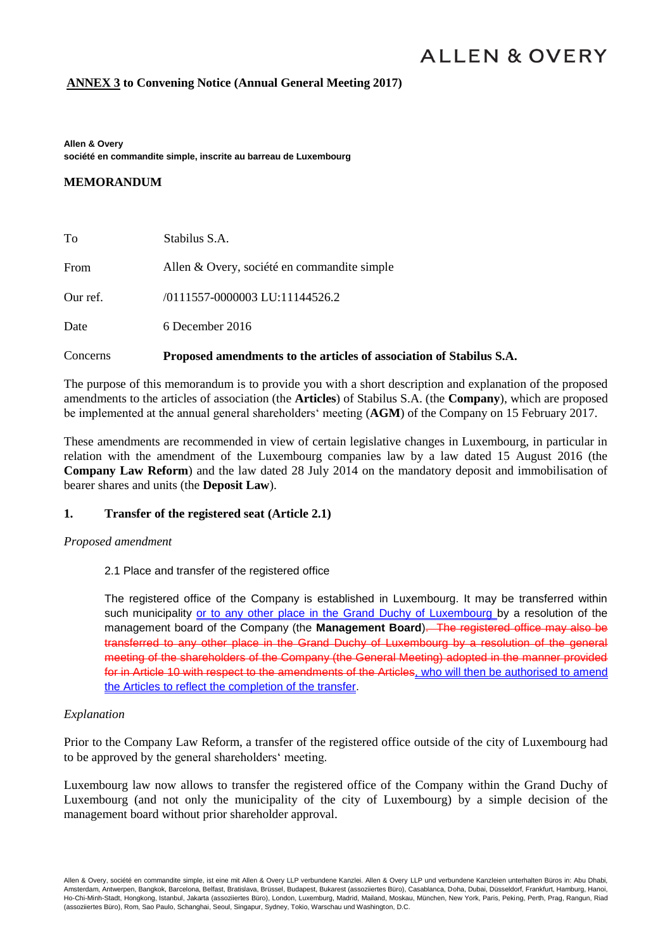# **ANNEX 3 to Convening Notice (Annual General Meeting 2017)**

**Allen & Overy société en commandite simple, inscrite au barreau de Luxembourg**

### **MEMORANDUM**

| Concerns | Proposed amendments to the articles of association of Stabilus S.A. |
|----------|---------------------------------------------------------------------|
| Date     | 6 December 2016                                                     |
| Our ref. | /0111557-0000003 LU:11144526.2                                      |
| From     | Allen & Overy, société en commandite simple                         |
| To       | Stabilus S.A.                                                       |

The purpose of this memorandum is to provide you with a short description and explanation of the proposed amendments to the articles of association (the **Articles**) of Stabilus S.A. (the **Company**), which are proposed be implemented at the annual general shareholders' meeting (**AGM**) of the Company on 15 February 2017.

These amendments are recommended in view of certain legislative changes in Luxembourg, in particular in relation with the amendment of the Luxembourg companies law by a law dated 15 August 2016 (the **Company Law Reform**) and the law dated 28 July 2014 on the mandatory deposit and immobilisation of bearer shares and units (the **Deposit Law**).

# **1. Transfer of the registered seat (Article 2.1)**

#### *Proposed amendment*

2.1 Place and transfer of the registered office

The registered office of the Company is established in Luxembourg. It may be transferred within such municipality or to any other place in the Grand Duchy of Luxembourg by a resolution of the management board of the Company (the **Management Board**). The registered office may also be transferred to any other place in the Grand Duchy of Luxembourg by a resolution of the general meeting of the shareholders of the Company (the General Meeting) adopted in the manner provided for in Article 10 with respect to the amendments of the Articles, who will then be authorised to amend the Articles to reflect the completion of the transfer.

#### *Explanation*

Prior to the Company Law Reform, a transfer of the registered office outside of the city of Luxembourg had to be approved by the general shareholders' meeting.

Luxembourg law now allows to transfer the registered office of the Company within the Grand Duchy of Luxembourg (and not only the municipality of the city of Luxembourg) by a simple decision of the management board without prior shareholder approval.

Allen & Overy, société en commandite simple, ist eine mit Allen & Overy LLP verbundene Kanzlei. Allen & Overy LLP und verbundene Kanzleien unterhalten Büros in: Abu Dhabi, Amsterdam, Antwerpen, Bangkok, Barcelona, Belfast, Bratislava, Brüssel, Budapest, Bukarest (assoziiertes Büro), Casablanca, Doha, Dubai, Düsseldorf, Frankfurt, Hamburg, Hanoi, Ho-Chi-Minh-Stadt, Hongkong, Istanbul, Jakarta (assoziiertes Büro), London, Luxemburg, Madrid, Mailand, Moskau, München, New York, Paris, Peking, Perth, Prag, Rangun, Riad (assoziiertes Büro), Rom, Sao Paulo, Schanghai, Seoul, Singapur, Sydney, Tokio, Warschau und Washington, D.C.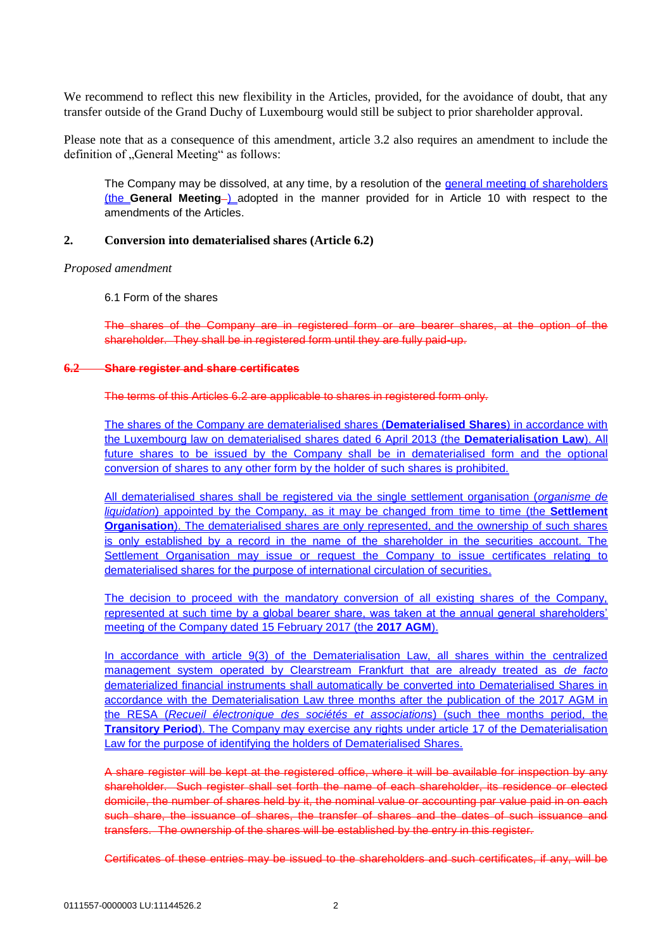We recommend to reflect this new flexibility in the Articles, provided, for the avoidance of doubt, that any transfer outside of the Grand Duchy of Luxembourg would still be subject to prior shareholder approval.

Please note that as a consequence of this amendment, article 3.2 also requires an amendment to include the definition of "General Meeting" as follows:

The Company may be dissolved, at any time, by a resolution of the general meeting of shareholders (the **General Meeting** ) adopted in the manner provided for in Article 10 with respect to the amendments of the Articles.

### **2. Conversion into dematerialised shares (Article 6.2)**

*Proposed amendment*

6.1 Form of the shares

The shares of the Company are in registered form or are bearer shares, at the option of the shareholder. They shall be in registered form until they are fully paid-up.

#### **6.2 Share register and share certificates**

#### The terms of this Articles 6.2 are applicable to shares in registered form only.

The shares of the Company are dematerialised shares (**Dematerialised Shares**) in accordance with the Luxembourg law on dematerialised shares dated 6 April 2013 (the **Dematerialisation Law**). All future shares to be issued by the Company shall be in dematerialised form and the optional conversion of shares to any other form by the holder of such shares is prohibited.

All dematerialised shares shall be registered via the single settlement organisation (*organisme de liquidation*) appointed by the Company, as it may be changed from time to time (the **Settlement Organisation**). The dematerialised shares are only represented, and the ownership of such shares is only established by a record in the name of the shareholder in the securities account. The Settlement Organisation may issue or request the Company to issue certificates relating to dematerialised shares for the purpose of international circulation of securities.

The decision to proceed with the mandatory conversion of all existing shares of the Company, represented at such time by a global bearer share, was taken at the annual general shareholders' meeting of the Company dated 15 February 2017 (the **2017 AGM**).

In accordance with article 9(3) of the Dematerialisation Law, all shares within the centralized management system operated by Clearstream Frankfurt that are already treated as *de facto*  dematerialized financial instruments shall automatically be converted into Dematerialised Shares in accordance with the Dematerialisation Law three months after the publication of the 2017 AGM in the RESA (*Recueil électronique des sociétés et associations*) (such thee months period, the **Transitory Period**). The Company may exercise any rights under article 17 of the Dematerialisation Law for the purpose of identifying the holders of Dematerialised Shares.

A share register will be kept at the registered office, where it will be available for inspection by any shareholder. Such register shall set forth the name of each shareholder, its residence or elected domicile, the number of shares held by it, the nominal value or accounting par value paid in on each such share, the issuance of shares, the transfer of shares and the dates of such issuance and transfers. The ownership of the shares will be established by the entry in this register.

Certificates of these entries may be issued to the shareholders and such certificates, if any, will be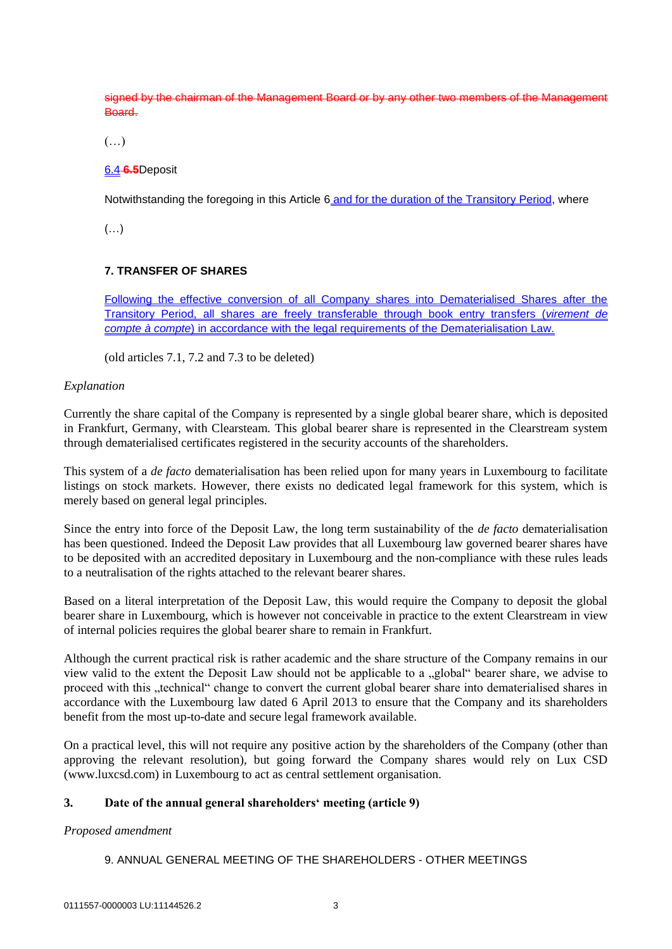signed by the chairman of the Management Board or by any other two members of the Management Board.

(…)

### 6.4 **6.5**Deposit

Notwithstanding the foregoing in this Article 6 and for the duration of the Transitory Period, where

(…)

# **7. TRANSFER OF SHARES**

Following the effective conversion of all Company shares into Dematerialised Shares after the Transitory Period, all shares are freely transferable through book entry transfers (*virement de compte à compte*) in accordance with the legal requirements of the Dematerialisation Law.

(old articles 7.1, 7.2 and 7.3 to be deleted)

#### *Explanation*

Currently the share capital of the Company is represented by a single global bearer share, which is deposited in Frankfurt, Germany, with Clearsteam. This global bearer share is represented in the Clearstream system through dematerialised certificates registered in the security accounts of the shareholders.

This system of a *de facto* dematerialisation has been relied upon for many years in Luxembourg to facilitate listings on stock markets. However, there exists no dedicated legal framework for this system, which is merely based on general legal principles.

Since the entry into force of the Deposit Law, the long term sustainability of the *de facto* dematerialisation has been questioned. Indeed the Deposit Law provides that all Luxembourg law governed bearer shares have to be deposited with an accredited depositary in Luxembourg and the non-compliance with these rules leads to a neutralisation of the rights attached to the relevant bearer shares.

Based on a literal interpretation of the Deposit Law, this would require the Company to deposit the global bearer share in Luxembourg, which is however not conceivable in practice to the extent Clearstream in view of internal policies requires the global bearer share to remain in Frankfurt.

Although the current practical risk is rather academic and the share structure of the Company remains in our view valid to the extent the Deposit Law should not be applicable to a "global" bearer share, we advise to proceed with this "technical" change to convert the current global bearer share into dematerialised shares in accordance with the Luxembourg law dated 6 April 2013 to ensure that the Company and its shareholders benefit from the most up-to-date and secure legal framework available.

On a practical level, this will not require any positive action by the shareholders of the Company (other than approving the relevant resolution), but going forward the Company shares would rely on Lux CSD (www.luxcsd.com) in Luxembourg to act as central settlement organisation.

# **3. Date of the annual general shareholders' meeting (article 9)**

#### *Proposed amendment*

# 9. ANNUAL GENERAL MEETING OF THE SHAREHOLDERS - OTHER MEETINGS